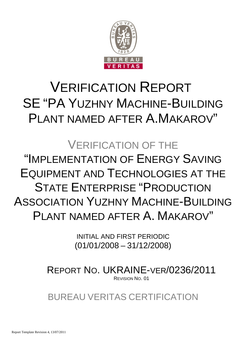

# VERIFICATION REPORT SE "PA YUZHNY MACHINE-BUILDING PLANT NAMED AFTER A.MAKAROV"

# VERIFICATION OF THE "IMPLEMENTATION OF ENERGY SAVING EQUIPMENT AND TECHNOLOGIES AT THE STATE ENTERPRISE "PRODUCTION ASSOCIATION YUZHNY MACHINE-BUILDING PLANT NAMED AFTER A. MAKAROV"

INITIAL AND FIRST PERIODIC (01/01/2008 – 31/12/2008)

REPORT NO. UKRAINE-VER/0236/2011 REVISION NO. 01

BUREAU VERITAS CERTIFICATION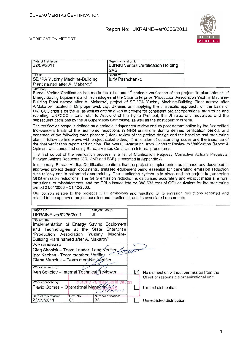Organizational unit:



٦

#### VERIFICATION REPORT

Date of first issue:

| 22/09/2011                                                                                                                                                                                                                                                                                                                                                                                                                                                                                                                                                                                                                                                                                                                                                                                                                                                                                                                                                                                                                                                                                                                                                                                                                                                                       | <b>SAS</b>                          |           | Bureau Veritas Certification Holding                                                     |  |
|----------------------------------------------------------------------------------------------------------------------------------------------------------------------------------------------------------------------------------------------------------------------------------------------------------------------------------------------------------------------------------------------------------------------------------------------------------------------------------------------------------------------------------------------------------------------------------------------------------------------------------------------------------------------------------------------------------------------------------------------------------------------------------------------------------------------------------------------------------------------------------------------------------------------------------------------------------------------------------------------------------------------------------------------------------------------------------------------------------------------------------------------------------------------------------------------------------------------------------------------------------------------------------|-------------------------------------|-----------|------------------------------------------------------------------------------------------|--|
| Client:<br>SE "PA Yuzhny Machine-Building<br>Plant named after A. Makarov"                                                                                                                                                                                                                                                                                                                                                                                                                                                                                                                                                                                                                                                                                                                                                                                                                                                                                                                                                                                                                                                                                                                                                                                                       | Client ref.:<br>luriy Pashchenko    |           |                                                                                          |  |
| Summary:<br>Bureau Veritas Certification has made the initial and 1 <sup>st</sup> periodic verification of the project "Implementation of<br>Energy Saving Equipment and Technologies at the State Enterprise "Production Association Yuzhny Machine-<br>Building Plant named after A. Makarov", project of SE "PA Yuzhny Machine-Building Plant named after<br>A.Makarov" located in Dnipropetrovsk city, Ukraine, and applying the JI specific approach, on the basis of<br>UNFCCC criteria for the JI, as well as criteria given to provide for consistent project operations, monitoring and<br>reporting. UNFCCC criteria refer to Article 6 of the Kyoto Protocol, the JI rules and modalities and the<br>subsequent decisions by the JI Supervisory Committee, as well as the host country criteria.<br>The verification scope is defined as a periodic independent review and ex post determination by the Accredited<br>Independent Entity of the monitored reductions in GHG emissions during defined verification period, and<br>consisted of the following three phases: i) desk review of the project design and the baseline and monitoring<br>plan; ii) follow-up interviews with project stakeholders; iii) resolution of outstanding issues and the issuance of |                                     |           |                                                                                          |  |
| the final verification report and opinion. The overall verification, from Contract Review to Verification Report &<br>Opinion, was conducted using Bureau Veritas Certification internal procedures.<br>The first output of the verification process is a list of Clarification Request, Corrective Actions Requests,                                                                                                                                                                                                                                                                                                                                                                                                                                                                                                                                                                                                                                                                                                                                                                                                                                                                                                                                                            |                                     |           |                                                                                          |  |
| Forward Actions Requests (CR, CAR and FAR), presented in Appendix A.<br>In summary, Bureau Veritas Certification confirms that the project is implemented as planned and described in<br>approved project design documents. Installed equipment being essential for generating emission reduction<br>runs reliably and is calibrated appropriately. The monitoring system is in place and the project is generating<br>GHG emission reductions. The GHG emission reduction is calculated accurately and without material errors,<br>omissions, or misstatements, and the ERUs issued totalize 388 633 tons of CO2 equivalent for the monitoring<br>period 01/01/2008 - 31/12/2008                                                                                                                                                                                                                                                                                                                                                                                                                                                                                                                                                                                                |                                     |           |                                                                                          |  |
| Our opinion relates to the project's GHG emissions and resulting GHG emission reductions reported and<br>related to the approved project baseline and monitoring, and its associated documents.                                                                                                                                                                                                                                                                                                                                                                                                                                                                                                                                                                                                                                                                                                                                                                                                                                                                                                                                                                                                                                                                                  |                                     |           |                                                                                          |  |
| Report No.:<br>Subject Group:<br>UKRAINE-ver/0236/2011<br>JI<br>Project title:                                                                                                                                                                                                                                                                                                                                                                                                                                                                                                                                                                                                                                                                                                                                                                                                                                                                                                                                                                                                                                                                                                                                                                                                   |                                     |           |                                                                                          |  |
| Implementation of Energy Saving<br>and Technologies at the State<br>"Production<br>Association<br>Yuzhny<br>Building Plant named after A. Makarov"                                                                                                                                                                                                                                                                                                                                                                                                                                                                                                                                                                                                                                                                                                                                                                                                                                                                                                                                                                                                                                                                                                                               | Equipment<br>Enterprise<br>Machine- |           |                                                                                          |  |
| Work carried out by:<br>Oleg Skoblyk – Team Leader, Lead ∕Verifier<br>Igor Kachan - Team member, Verifier<br>Olena Manziuk – Team member <i>N</i> erifier                                                                                                                                                                                                                                                                                                                                                                                                                                                                                                                                                                                                                                                                                                                                                                                                                                                                                                                                                                                                                                                                                                                        | trad                                |           |                                                                                          |  |
| Work reviewed by:<br>Ivan Sokolov - Internal Technical Reviewer<br>Work approved by:<br>pureau                                                                                                                                                                                                                                                                                                                                                                                                                                                                                                                                                                                                                                                                                                                                                                                                                                                                                                                                                                                                                                                                                                                                                                                   | ertification                        | $\bowtie$ | No distribution without permission from the<br>Client or responsible organizational unit |  |
| Flavio Gomes - Operational Manager<br>Date of this revision:<br>Rev. No.:                                                                                                                                                                                                                                                                                                                                                                                                                                                                                                                                                                                                                                                                                                                                                                                                                                                                                                                                                                                                                                                                                                                                                                                                        | 10<br>Number of pages:              |           | Limited distribution                                                                     |  |
| 22/09/2011<br>33<br>01                                                                                                                                                                                                                                                                                                                                                                                                                                                                                                                                                                                                                                                                                                                                                                                                                                                                                                                                                                                                                                                                                                                                                                                                                                                           |                                     |           | Unrestricted distribution                                                                |  |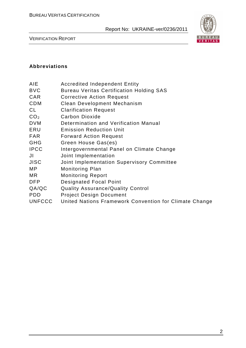

VERIFICATION REPORT

#### **Abbreviations**

| AIE | <b>Accredited Independent Entity</b> |  |
|-----|--------------------------------------|--|
|     |                                      |  |

- BVC Bureau Veritas Certification Holding SAS
- CAR Corrective Action Request
- CDM Clean Development Mechanism
- CL Clarification Request
- CO<sub>2</sub> Carbon Dioxide
- DVM Determination and Verification Manual
- ERU Emission Reduction Unit
- FAR Forward Action Request
- GHG Green House Gas(es)
- IPCC Intergovernmental Panel on Climate Change
- JI Joint Implementation
- JISC Joint Implementation Supervisory Committee
- MP Monitoring Plan
- MR Monitoring Report
- DFP Designated Focal Point
- QA/QC Quality Assurance/Quality Control
- PDD Project Design Document
- UNFCCC United Nations Framework Convention for Climate Change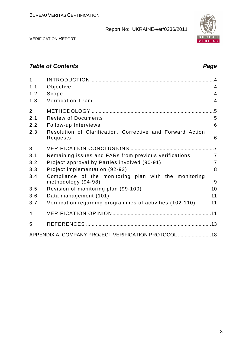

VERIFICATION REPORT

# **Table of Contents Page 2018**

| $\mathbf{1}$   |                                                                              | $\overline{A}$ |
|----------------|------------------------------------------------------------------------------|----------------|
| 1.1            | Objective                                                                    | $\overline{4}$ |
| 1.2            | Scope                                                                        | 4              |
| 1.3            | <b>Verification Team</b>                                                     | $\overline{4}$ |
| $\overline{2}$ |                                                                              |                |
| 2.1            | <b>Review of Documents</b>                                                   | 5              |
| 2.2            | Follow-up Interviews                                                         | 6              |
| 2.3            | Resolution of Clarification, Corrective and Forward Action<br>Requests       | 6              |
| 3              |                                                                              |                |
| 3.1            | Remaining issues and FARs from previous verifications                        | $\overline{7}$ |
| 3.2            | Project approval by Parties involved (90-91)                                 | $\overline{7}$ |
| 3.3            | Project implementation (92-93)                                               | 8              |
| 3.4            | Compliance of the monitoring plan with the monitoring<br>methodology (94-98) | 9              |
| 3.5            | Revision of monitoring plan (99-100)                                         | 10             |
| 3.6            | Data management (101)                                                        | 11             |
| 3.7            | Verification regarding programmes of activities (102-110)                    | 11             |
| 4              |                                                                              |                |
| 5              |                                                                              |                |
|                | APPENDIX A: COMPANY PROJECT VERIFICATION PROTOCOL  18                        |                |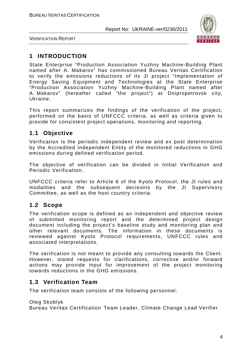

VERIFICATION REPORT

# **1 INTRODUCTION**

State Enterprise "Production Association Yuzhny Machine-Building Plant named after A. Makarov" has commissioned Bureau Veritas Certification to verify the emissions reductions of its JI project "Implementation of Energy Saving Equipment and Technologies at the State Enterprise "Production Association Yuzhny Machine-Building Plant named after A. Makarov" (hereafter called "the project") at Dnipropetrovsk city, Ukraine.

This report summarizes the findings of the verification of the project, performed on the basis of UNFCCC criteria, as well as criteria given to provide for consistent project operations, monitoring and reporting.

# **1.1 Objective**

Verification is the periodic independent review and ex post determination by the Accredited Independent Entity of the monitored reductions in GHG emissions during defined verification period.

The objective of verification can be divided in Initial Verification and Periodic Verification.

UNFCCC criteria refer to Article 6 of the Kyoto Protocol, the JI rules and modalities and the subsequent decisions by the JI Supervisory Committee, as well as the host country criteria.

# **1.2 Scope**

The verification scope is defined as an independent and objective review of submitted monitoring report and the determined project design document including the project's baseline study and monitoring plan and other relevant documents. The information in these documents is reviewed against Kyoto Protocol requirements, UNFCCC rules and associated interpretations.

The verification is not meant to provide any consulting towards the Client. However, stated requests for clarifications, corrective and/or forward actions may provide input for improvement of the project monitoring towards reductions in the GHG emissions.

### **1.3 Verification Team**

The verification team consists of the following personnel:

Oleg Skoblyk

Bureau Veritas Certification Team Leader, Climate Change Lead Verifier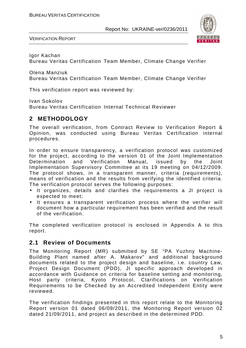

VERIFICATION REPORT

Igor Kachan

Bureau Veritas Certification Team Member, Climate Change Verifier

Olena Manziuk

Bureau Veritas Certification Team Member, Climate Change Verifier

This verification report was reviewed by:

Ivan Sokolov

Bureau Veritas Certification Internal Technical Reviewer

## **2 METHODOLOGY**

The overall verification, from Contract Review to Verification Report & Opinion, was conducted using Bureau Veritas Certification internal procedures.

In order to ensure transparency, a verification protocol was customized for the project, according to the version 01 of the Joint Implementation Determination and Verification Manual, issued by the Joint Implementation Supervisory Committee at its 19 meeting on 04/12/2009. The protocol shows, in a transparent manner, criteria (requirements), means of verification and the results from verifying the identified criteria. The verification protocol serves the following purposes:

- It organizes, details and clarifies the requirements a JI project is expected to meet;
- It ensures a transparent verification process where the verifier will document how a particular requirement has been verified and the result of the verification.

The completed verification protocol is enclosed in Appendix A to this report.

### **2.1 Review of Documents**

The Monitoring Report (MR) submitted by SE "PA Yuzhny Machine-Building Plant named after A. Makarov" and additional background documents related to the project design and baseline, i.e. country Law, Project Design Document (PDD), JI specific approach developed in accordance with Guidance on criteria for baseline setting and monitoring, Host party criteria, Kyoto Protocol, Clarifications on Verification Requirements to be Checked by an Accredited Independent Entity were reviewed.

The verification findings presented in this report relate to the Monitoring Report version 01 dated 06/09/2011, the Monitoring Report version 02 dated 21/09/2011, and project as described in the determined PDD.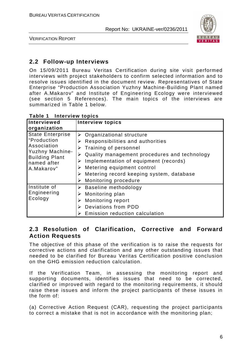

VERIFICATION REPORT

# **2.2 Follow-up Interviews**

On 15/09/2011 Bureau Veritas Certification during site visit performed interviews with project stakeholders to confirm selected information and to resolve issues identified in the document review. Representatives of State Enterprise "Production Association Yuzhny Machine-Building Plant named after A.Makarov" and Institute of Engineering Ecology were interviewed (see section 5 References). The main topics of the interviews are summarized in Table 1 below.

| Interviewed<br>organization                                                                                                           | <b>Interview topics</b>                                                                                                                                                                                                                                                                                                                            |
|---------------------------------------------------------------------------------------------------------------------------------------|----------------------------------------------------------------------------------------------------------------------------------------------------------------------------------------------------------------------------------------------------------------------------------------------------------------------------------------------------|
| <b>State Enterprise</b><br>"Production<br>Association<br><b>Yuzhny Machine-</b><br><b>Building Plant</b><br>named after<br>A.Makarov" | $\triangleright$ Organizational structure<br>Responsibilities and authorities<br>➤<br>Training of personnel<br>⋗<br>Quality management procedures and technology<br>Implementation of equipment (records)<br>➤<br>Metering equipment control<br>➤<br>$\triangleright$ Metering record keeping system, database<br><b>Monitoring procedure</b><br>➤ |
| Institute of<br>Engineering<br>Ecology                                                                                                | $\triangleright$ Baseline methodology<br>Monitoring plan<br>➤<br><b>Monitoring report</b><br>➤<br>Deviations from PDD<br>Emission reduction calculation                                                                                                                                                                                            |

**Table 1 Interview topics** 

# **2.3 Resolution of Clarification, Corrective and Forward Action Requests**

The objective of this phase of the verification is to raise the requests for corrective actions and clarification and any other outstanding issues that needed to be clarified for Bureau Veritas Certification positive conclusion on the GHG emission reduction calculation.

If the Verification Team, in assessing the monitoring report and supporting documents, identifies issues that need to be corrected, clarified or improved with regard to the monitoring requirements, it should raise these issues and inform the project participants of these issues in the form of:

(a) Corrective Action Request (CAR), requesting the project participants to correct a mistake that is not in accordance with the monitoring plan;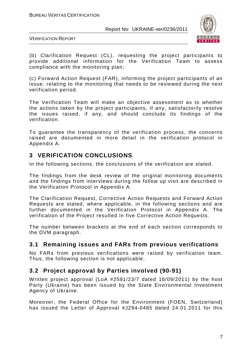

VERIFICATION REPORT

(b) Clarification Request (CL), requesting the project participants to provide additional information for the Verification Team to assess compliance with the monitoring plan;

(c) Forward Action Request (FAR), informing the project participants of an issue, relating to the monitoring that needs to be reviewed during the next verification period.

The Verification Team will make an objective assessment as to whether the actions taken by the project participants, if any, satisfactorily resolve the issues raised, if any, and should conclude its findings of the verification.

To guarantee the transparency of the verification process, the concerns raised are documented in more detail in the verification protocol in Appendix A.

# **3 VERIFICATION CONCLUSIONS**

In the following sections, the conclusions of the verification are stated.

The findings from the desk review of the original monitoring documents and the findings from interviews during the follow up visit are described in the Verification Protocol in Appendix A.

The Clarification Request, Corrective Action Requests and Forward Action Requests are stated, where applicable, in the following sections and are further documented in the Verification Protocol in Appendix A. The verification of the Project resulted in five Corrective Action Requests.

The number between brackets at the end of each section corresponds to the DVM paragraph.

# **3.1 Remaining issues and FARs from previous verifications**

No FARs from previous verifications were raised by verification team. Thus, the following section is not applicable.

# **3.2 Project approval by Parties involved (90-91)**

Written project approval (LoA #2591/23/7 dated 16/09/2011) by the host Party (Ukraine) has been issued by the State Environmental Investment Agency of Ukraine.

Moreover, the Federal Office for the Environment (FOEN, Switzerland) has issued the Letter of Approval #J294-0485 dated 24.01.2011 for this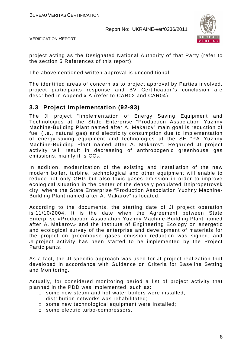

VERIFICATION REPORT

project acting as the Designated National Authority of that Party (refer to the section 5 References of this report).

The abovementioned written approval is unconditional.

The identified areas of concern as to project approval by Parties involved, project participants response and BV Certification's conclusion are described in Appendix A (refer to CAR02 and CAR04).

### **3.3 Project implementation (92-93)**

The JI project "Implementation of Energy Saving Equipment and Technologies at the State Enterprise "Production Association Yuzhny Machine-Building Plant named after A. Makarov" main goal is reduction of fuel (i.e., natural gas) and electricity consumption due to implementation of energy-saving equipment and technologies at the SE "PA Yuzhny Machine-Building Plant named after A. Makarov". Regarded JI project activity will result in decreasing of anthropogenic greenhouse gas emissions, mainly it is  $CO<sub>2</sub>$ .

In addition, modernization of the existing and installation of the new modern boiler, turbine, technological and other equipment will enable to reduce not only GHG but also toxic gases emission in order to improve ecological situation in the center of the densely populated Dnipropetrovsk city, where the State Enterprise "Production Association Yuzhny Machine-Building Plant named after A. Makarov" is located.

According to the documents, the starting date of JI project operation is 11/10/2004. It is the date when the Agreement between State Enterprise «Production Association Yuzhny Machine-Building Plant named after A. Makarov» and the Institute of Engineering Ecology on energetic and ecological survey of the enterprise and development of materials for the project on greenhouse gases emission reduction was signed, and JI project activity has been started to be implemented by the Project Participants.

As a fact, the JI specific approach was used for JI project realization that developed in accordance with Guidance on Criteria for Baseline Setting and Monitoring.

Actually, for considered monitoring period a list of project activity that planned in the PDD was implemented, such as:

- $\square$  some new steam and hot water boilers were installed;
- distribution networks was rehabilitated;
- some new technological equipment were installed;
- □ some electric turbo-compressors,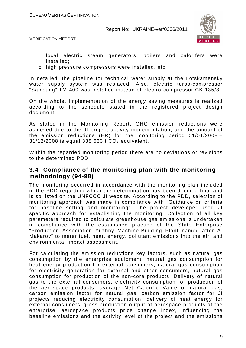



- local electric steam generators, boilers and calorifers were installed;
- $\Box$  high pressure compressors were installed, etc.

In detailed, the pipeline for technical water supply at the Lotskamensky water supply system was replaced. Also, electric turbo-compressor "Samsung" TM-400 was installed instead of electro-compressor CK-135/8.

On the whole, implementation of the energy saving measures is realized according to the schedule stated in the registered project design document.

As stated in the Monitoring Report, GHG emission reductions were achieved due to the JI project activity implementation, and the amount of the emission reductions (ER) for the monitoring period 01/01/2008 –  $31/12/2008$  is equal 388 633 t  $CO<sub>2</sub>$  equivalent.

Within the regarded monitoring period there are no deviations or revisions to the determined PDD.

#### **3.4 Compliance of the monitoring plan with the monitoring methodology (94-98)**

The monitoring occurred in accordance with the monitoring plan included in the PDD regarding which the determination has been deemed final and is so listed on the UNFCCC JI website. According to the PDD, selection of monitoring approach was made in compliance with "Guidance on criteria for baseline setting and monitoring". The project developer used JI specific approach for establishing the monitoring. Collection of all key parameters required to calculate greenhouse gas emissions is undertaken in compliance with the established practice of the State Enterprise "Production Association Yuzhny Machine-Building Plant named after A. Makarov" to meter fuel, heat, energy, pollutant emissions into the air, and environmental impact assessment.

For calculating the emission reductions key factors, such as natural gas consumption by the enterprise equipment, natural gas consumption for heat energy production for external consumers, natural gas consumption for electricity generation for external and other consumers, natural gas consumption for production of the non-core products, Delivery of natural gas to the external consumers, electricity consumption for production of the aerospace products, average Net Calorific Value of natural gas, carbon emission factor for natural gas, carbon emission factor for JI projects reducing electricity consumption, delivery of heat energy for external consumers, gross production output of aerospace products at the enterprise, aerospace products price change index, influencing the baseline emissions and the activity level of the project and the emissions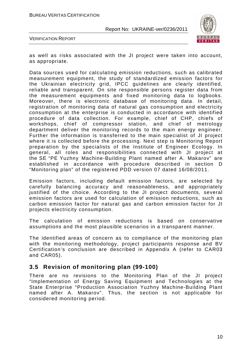

VERIFICATION REPORT

as well as risks associated with the JI project were taken into account, as appropriate.

Data sources used for calculating emission reductions, such as calibrated measurement equipment, the study of standardized emission factors for the Ukrainian electricity grid, IPCC guidelines are clearly identified, reliable and transparent. On site responsible persons register data from the measurement equipments and fixed monitoring data to logbooks. Moreover, there is electronic database of monitoring data. In detail, registration of monitoring data of natural gas consumption and electricity consumption at the enterprise is conducted in accordance with identified procedure of data collection. For example, chief of CHP, chiefs of workshops, chief of compressor station, and chief of metrology department deliver the monitoring records to the main energy engineer. Further the information is transferred to the main specialist of JI project where it is collected before the processing. Next step is Monitoring Report preparation by the specialists of the Institute of Engineer Ecology. In general, all roles and responsibilities connected with JI project at the SE "PE Yuzhny Machine-Building Plant named after A. Makarov" are established in accordance with procedure described in section D "Monitoring plan" of the registered PDD version 07 dated 16/08/2011.

Emission factors, including default emission factors, are selected by carefully balancing accuracy and reasonableness, and appropriately justified of the choice. According to the JI project documents, several emission factors are used for calculation of emission reductions, such as carbon emission factor for natural gas and carbon emission factor for JI projects electricity consumption.

The calculation of emission reductions is based on conservative assumptions and the most plausible scenarios in a transparent manner.

The identified areas of concern as to compliance of the monitoring plan with the monitoring methodology, project participants response and BV Certification's conclusion are described in Appendix A (refer to CAR03 and CAR05).

### **3.5 Revision of monitoring plan (99-100)**

There are no revisions to the Monitoring Plan of the JI project "Implementation of Energy Saving Equipment and Technologies at the State Enterprise "Production Association Yuzhny Machine-Building Plant named after A. Makarov". Thus, the section is not applicable for considered monitoring period.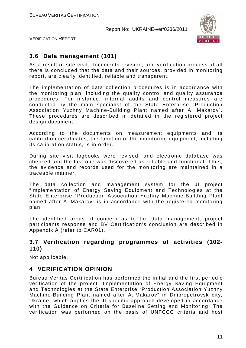

VERIFICATION REPORT

# **3.6 Data management (101)**

As a result of site visit, documents revision, and verification process at all there is concluded that the data and their sources, provided in monitoring report, are clearly identified, reliable and transparent.

The implementation of data collection procedures is in accordance with the monitoring plan, including the quality control and quality assurance procedures. For instance, internal audits and control measures are conducted by the main specialist of the State Enterprise "Production Association Yuzhny Machine-Building Plant named after A. Makarov". These procedures are described in detailed in the registered project design document.

According to the documents on measurement equipments and its calibration certificates, the function of the monitoring equipment, including its calibration status, is in order.

During site visit logbooks were revised, and electronic database was checked and the last one was discovered as reliable and functional. Thus, the evidence and records used for the monitoring are maintained in a traceable manner.

The data collection and management system for the JI project "Implementation of Energy Saving Equipment and Technologies at the State Enterprise "Production Association Yuzhny Machine-Building Plant named after A. Makarov" is in accordance with the registered monitoring plan.

The identified areas of concern as to the data management, project participants response and BV Certification's conclusion are described in Appendix A (refer to CAR01).

## **3.7 Verification regarding programmes of activities (102- 110)**

Not applicable.

### **4 VERIFICATION OPINION**

Bureau Veritas Certification has performed the initial and the first periodic verification of the project "Implementation of Energy Saving Equipment and Technologies at the State Enterprise "Production Association Yuzhny Machine-Building Plant named after A. Makarov" in Dnipropetrovsk city, Ukraine, which applies the JI specific approach developed in accordance with the Guidance on Criteria for Baseline Setting and Monitoring. The verification was performed on the basis of UNFCCC criteria and host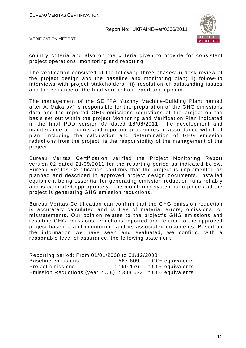

VERIFICATION REPORT

country criteria and also on the criteria given to provide for consistent project operations, monitoring and reporting.

The verification consisted of the following three phases: i) desk review of the project design and the baseline and monitoring plan; ii) follow-up interviews with project stakeholders; iii) resolution of outstanding issues and the issuance of the final verification report and opinion.

The management of the SE "PA Yuzhny Machine-Building Plant named after A. Makarov" is responsible for the preparation of the GHG emissions data and the reported GHG emissions reductions of the project on the basis set out within the project Monitoring and Verification Plan indicated in the final PDD version 07 dated 16/08/2011. The development and maintenance of records and reporting procedures in accordance with that plan, including the calculation and determination of GHG emission reductions from the project, is the responsibility of the management of the project.

Bureau Veritas Certification verified the Project Monitoring Report version 02 dated 21/09/2011 for the reporting period as indicated below. Bureau Veritas Certification confirms that the project is implemented as planned and described in approved project design documents. Installed equipment being essential for generating emission reduction runs reliably and is calibrated appropriately. The monitoring system is in place and the project is generating GHG emission reductions.

Bureau Veritas Certification can confirm that the GHG emission reduction is accurately calculated and is free of material errors, omissions, or misstatements. Our opinion relates to the project's GHG emissions and resulting GHG emissions reductions reported and related to the approved project baseline and monitoring, and its associated documents. Based on the information we have seen and evaluated, we confirm, with a reasonable level of assurance, the following statement:

| Reporting period: From 01/01/2008 to 31/12/2008               |                                |
|---------------------------------------------------------------|--------------------------------|
| Baseline emissions                                            | $: 587809$ t $CO2$ equivalents |
| Project emissions                                             | $: 199176$ t $CO2$ equivalents |
| Emission Reductions (year 2008) : 388 633 t $CO2$ equivalents |                                |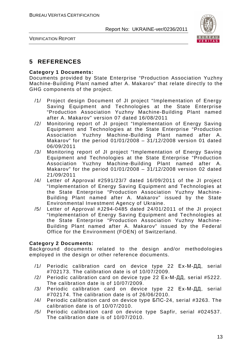

VERIFICATION REPORT

# **5 REFERENCES**

#### **Category 1 Documents:**

Documents provided by State Enterprise "Production Association Yuzhny Machine-Building Plant named after A. Makarov" that relate directly to the GHG components of the project.

- /1/ Project design Document of JI project "Implementation of Energy Saving Equipment and Technologies at the State Enterprise "Production Association Yuzhny Machine-Building Plant named after A. Makarov" version 07 dated 16/08/2011
- /2/ Monitoring report of JI project "Implementation of Energy Saving Equipment and Technologies at the State Enterprise "Production Association Yuzhny Machine-Building Plant named after A. Makarov" for the period 01/01/2008 – 31/12/2008 version 01 dated 06/09/2011
- /3/ Monitoring report of JI project "Implementation of Energy Saving Equipment and Technologies at the State Enterprise "Production Association Yuzhny Machine-Building Plant named after A. Makarov" for the period 01/01/2008 – 31/12/2008 version 02 dated 21/09/2011
- /4/ Letter of Approval #2591/23/7 dated 16/09/2011 of the JI project "Implementation of Energy Saving Equipment and Technologies at the State Enterprise "Production Association Yuzhny Machine-Building Plant named after A. Makarov" issued by the State Environmental Investment Agency of Ukraine.
- /5/ Letter of Approval #J294-0485 dated 24/01/2011 of the JI project "Implementation of Energy Saving Equipment and Technologies at the State Enterprise "Production Association Yuzhny Machine-Building Plant named after A. Makarov" issued by the Federal Office for the Environment (FOEN) of Switzerland.

#### **Category 2 Documents:**

Background documents related to the design and/or methodologies employed in the design or other reference documents.

- /1/ Periodic calibration card on device type 22 Ех-М-ДД, serial #702173. The calibration date is of 10/07/2009.
- /2/ Periodic calibration card on device type 22 Ех-М-ДД, serial #5222. The calibration date is of 10/07/2009.
- /3/ Periodic calibration card on device type 22 Ех-М-ДД, serial #702174. The calibration date is of 26/06/2010.
- /4/ Periodic calibration card on device type БПС-24, serial #3263. The calibration date is of 10/07/2010.
- /5/ Periodic calibration card on device type Sapfir, serial #024537. The calibration date is of 10/07/2010.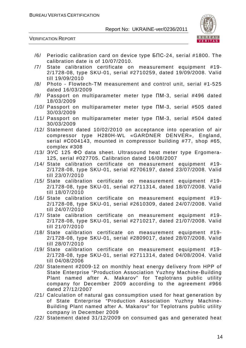

VERIFICATION REPORT

- /6/ Periodic calibration card on device type БПС-24, serial #1800. The calibration date is of 10/07/2010.
- /7/ State calibration certificate on measurement equipment #19- 2/1728-08, type SKU-01, serial #2710259, dated 19/09/2008. Valid till 19/09/2010
- /8/ Photo Flowtech-TM measurement and control unit, serial #1-525 dated 16/03/2009
- /9/ Passport on multiparameter meter type ПМ-3, serial #496 dated 18/03/2009
- /10/ Passport on multiparameter meter type ПМ-3, serial #505 dated 30/03/2009
- /11/ Passport on multiparameter meter type ПМ-3, serial #504 dated 30/03/2009
- /12/ Statement dated 10/02/2010 on acceptance into operation of air compressor type Н280Н-WL «GARDNER DENVER», England, serial #С004143, mounted in compressor building #77, shop #65, complex #308
- /13/ ЭУС 125 ФО data sheet. Ultrasound heat meter type Ergomera-125, serial #027705. Calibration dated 16/08/2007
- /14/ State calibration certificate on measurement equipment #19- 2/1728-08, type SKU-01, serial #2706197, dated 23/07/2008. Valid till 23/07/2010
- /15/ State calibration certificate on measurement equipment #19- 2/1728-08, type SKU-01, serial #2711314, dated 18/07/2008. Valid till 18/07/2010
- /16/ State calibration certificate on measurement equipment #19- 2/1728-08, type SKU-01, serial #2610309, dated 24/07/2008. Valid till 24/07/2010
- /17/ State calibration certificate on measurement equipment #19- 2/1728-08, type SKU-01, serial #2710217, dated 21/07/2008. Valid till 21/07/2010
- /18/ State calibration certificate on measurement equipment #19- 2/1728-08, type SKU-01, serial #2809017, dated 28/07/2008. Valid till 28/07/2010
- /19/ State calibration certificate on measurement equipment #19- 2/1728-08, type SKU-01, serial #2711314, dated 04/08/2004. Valid till 04/08/2006
- /20/ Statement #2009-12 on monthly heat energy delivery from HPP of State Enterprise "Production Association Yuzhny Machine-Building Plant named after A. Makarov" for Teplotrans public utility company for December 2009 according to the agreement #966 dated 27/12/2007
- /21/ Calculation of natural gas consumption used for heat generation by of State Enterprise "Production Association Yuzhny Machine-Building Plant named after A. Makarov" for Teplotrans public utility company in December 2009
- /22/ Statement dated 31/12/2009 on consumed gas and generated heat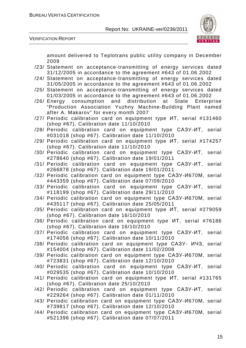

VERIFICATION REPORT

amount delivered to Teplotrans public utility company in December 2009

- /23/ Statement on acceptance-transmitting of energy services dated 31/12/2005 in accordance to the agreement #643 of 01.06.2002
- /24/ Statement on acceptance-transmitting of energy services dated 31/05/2005 in accordance to the agreement #643 of 01.06.2002
- /25/ Statement on acceptance-transmitting of energy services dated 01/03/2005 in accordance to the agreement #643 of 01.06.2002
- /26/ Energy consumption and distribution at State Enterprise "Production Association Yuzhny Machine-Building Plant named after A. Makarov" for every month 2007
- /27/ Periodic calibration card on equipment type ИТ, serial #131460 (shop #67). Calibration date 11/10/2010
- /28/ Periodic calibration card on equipment type САЗУ-ИТ, serial #031018 (shop #67). Calibration date 11/10/2010
- /29/ Periodic calibration card on equipment type ИТ, serial #174257 (shop #67). Calibration date 11/10/2010
- /30/ Periodic calibration card on equipment type САЗУ-ИТ, serial #278640 (shop #67). Calibration date 19/01/2011
- /31/ Periodic calibration card on equipment type САЗУ-ИТ, serial #266878 (shop #67). Calibration date 19/01/2011
- /32/ Periodic calibration card on equipment type САЗУ-И670М, serial #443359 (shop #67). Calibration date 07/09/2010
- /33/ Periodic calibration card on equipment type САЗУ-ИТ, serial #118199 (shop #67). Calibration date 29/11/2010
- /34/ Periodic calibration card on equipment type САЗУ-И670М, serial #435117 (shop #67). Calibration date 25/05/2011
- /35/ Periodic calibration card on equipment type ИТ, serial #279059 (shop #67). Calibration date 16/10/2010
- /36/ Periodic calibration card on equipment type ИТ, serial #76186 (shop #67). Calibration date 16/10/2010
- /37/ Periodic calibration card on equipment type САЗУ-ИТ, serial #174056 (shop #67). Calibration date 10/11/2010
- /38/ Periodic calibration card on equipment type САЗУ- ИЧЗ, serial #154004 (shop #67). Calibration date 11/02/2008
- /39/ Periodic calibration card on equipment type САЗУ-И670М, serial #723831 (shop #67). Calibration date 12/10/2010
- /40/ Periodic calibration card on equipment type САЗУ-ИТ, serial #029535 (shop #67). Calibration date 10/10/2010
- /41/ Periodic calibration card on equipment type ИТ, serial #131765 (shop #67). Calibration date 25/10/2010
- /42/ Periodic calibration card on equipment type САЗУ-ИТ, serial #229264 (shop #67). Calibration date 01/11/2010
- /43/ Periodic calibration card on equipment type САЗУ-И670М, serial #739817 (shop #67). Calibration date 12/10/2010
- /44/ Periodic calibration card on equipment type САЗУ-И670М, serial #521396 (shop #67). Calibration date 07/07/2011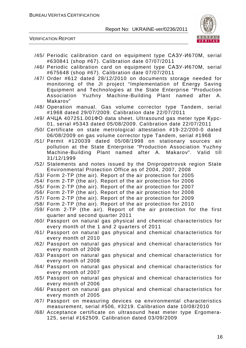

VERIFICATION REPORT

- /45/ Periodic calibration card on equipment type САЗУ-И670М, serial #630841 (shop #67). Calibration date 07/07/2011
- /46/ Periodic calibration card on equipment type САЗУ-И670М, serial #675648 (shop #67). Calibration date 07/07/2011
- /47/ Order #612 dated 28/12/2010 on documents storage needed for monitoring of the JI project "Implementation of Energy Saving Equipment and Technologies at the State Enterprise "Production Association Yuzhny Machine-Building Plant named after A. Makarov"
- /48/ Operation manual. Gas volume corrector type Tandem, serial #1968 dated 29/07/2009. Calibration date 22/07/2011
- /49/ АЧЦА 407251.001ФО data sheet. Ultrasound gas meter type Курс-01, serial #5343 dated 05/08/2009. Calibration date 22/07/2011
- /50/ Certificate on state metrological attestation #19-22/200-0 dated 06/08/2009 on gas volume corrector type Tandem, serial #1968
- /51/ Permit #120039 dated 05/08/1998 on stationary sources air pollution at the State Enterprise "Production Association Yuzhny Machine-Building Plant named after A. Makarov". Valid till 31/12/1999
- /52/ Statements and notes issued by the Dnipropetrovsk region State Environmental Protection Office as of 2004, 2007, 2008
- /53/ Form 2-TP (the air). Report of the air protection for 2005
- /54/ Form 2-TP (the air). Report of the air protection for 2006
- /55/ Form 2-TP (the air). Report of the air protection for 2007
- /56/ Form 2-TP (the air). Report of the air protection for 2008
- /57/ Form 2-TP (the air). Report of the air protection for 2009
- /58/ Form 2-TP (the air). Report of the air protection for 2010
- /59/ Form 2-TP (the air). Report of the air protection for the first quarter and second quarter 2011
- /60/ Passport on natural gas physical and chemical characteristics for every month of the 1 and 2 quarters of 2011
- /61/ Passport on natural gas physical and chemical characteristics for every month of 2010
- /62/ Passport on natural gas physical and chemical characteristics for every month of 2009
- /63/ Passport on natural gas physical and chemical characteristics for every month of 2008
- /64/ Passport on natural gas physical and chemical characteristics for every month of 2007
- /65/ Passport on natural gas physical and chemical characteristics for every month of 2006
- /66/ Passport on natural gas physical and chemical characteristics for every month of 2005
- /67/ Passport on measuring devices oа environmental characteristics measurement, serial #506, #3219. Calibration date 10/08/2010
- /68/ Acceptance certificate on ultrasound heat meter type Ergomera-125, serial #162509. Calibration dated 03/09/2009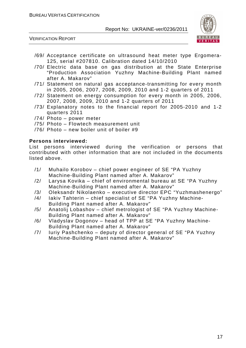VERIFICATION REPORT



- /69/ Acceptance certificate on ultrasound heat meter type Ergomera-125, serial #207810. Calibration dated 14/10/2010
- /70/ Electric data base on gas distribution at the State Enterprise "Production Association Yuzhny Machine-Building Plant named after A. Makarov"
- /71/ Statement on natural gas acceptance-transmitting for every month in 2005, 2006, 2007, 2008, 2009, 2010 and 1-2 quarters of 2011
- /72/ Statement on energy consumption for every month in 2005, 2006, 2007, 2008, 2009, 2010 and 1-2 quarters of 2011
- /73/ Explanatory notes to the financial report for 2005-2010 and 1-2 quarters 2011
- /74/ Photo power meter
- /75/ Photo Flowtech measurement unit
- /76/ Photo new boiler unit of boiler #9

#### **Persons interviewed:**

List persons interviewed during the verification or persons that contributed with other information that are not included in the documents listed above.

- /1/ Muhailo Korobov chief power engineer of SE "PA Yuzhny Machine-Building Plant named after A. Makarov"
- /2/ Larysa Kovika chief of environmental bureau at SE "PA Yuzhny Machine-Building Plant named after A. Makarov"
- /3/ Oleksandr Nikolaenko executive director EPC "Yuzhmashenergo"
- /4/ Iakiv Tahterin chief specialist of SE "PA Yuzhny Machine-
- Building Plant named after A. Makarov"
- /5/ Anatolij Lobashov chief metrologist of SE "PA Yuzhny Machine-Building Plant named after A. Makarov"
- /6/ Vladyslav Dogonov head of TPP at SE "PA Yuzhny Machine-Building Plant named after A. Makarov"
- /7/ Iuriy Pashchenko deputy of director general of SE "PA Yuzhny Machine-Building Plant named after A. Makarov"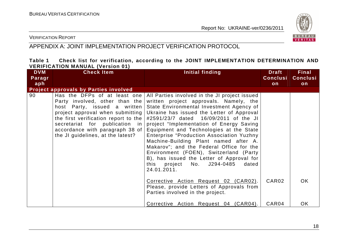

#### VERIFICATION REPORT

# APPENDIX A: JOINT IMPLEMENTATION PROJECT VERIFICATION PROTOCOL

#### **Table 1 Check list for verification, according to the JOINT IMPLEMENTATION DETERMINATION AND VERIFICATION MANUAL (Version 01)**

| <b>DVM</b> | <b>Check Item</b>                                                                                                                                                                                                                                                                          | Initial finding                                                                                                                                                                                                                                                                                                                                                                                                                                                                                                                                                                                                                       | <b>Draft</b>      | <b>Final</b>    |
|------------|--------------------------------------------------------------------------------------------------------------------------------------------------------------------------------------------------------------------------------------------------------------------------------------------|---------------------------------------------------------------------------------------------------------------------------------------------------------------------------------------------------------------------------------------------------------------------------------------------------------------------------------------------------------------------------------------------------------------------------------------------------------------------------------------------------------------------------------------------------------------------------------------------------------------------------------------|-------------------|-----------------|
| Paragr     |                                                                                                                                                                                                                                                                                            |                                                                                                                                                                                                                                                                                                                                                                                                                                                                                                                                                                                                                                       | <b>Conclusi</b>   | <b>Conclusi</b> |
| aph        |                                                                                                                                                                                                                                                                                            |                                                                                                                                                                                                                                                                                                                                                                                                                                                                                                                                                                                                                                       | on                | on              |
|            | <b>Project approvals by Parties involved</b>                                                                                                                                                                                                                                               |                                                                                                                                                                                                                                                                                                                                                                                                                                                                                                                                                                                                                                       |                   |                 |
| 90         | Has the DFPs of at least one<br>Party involved, other than the<br>host Party, issued a written<br>project approval when submitting<br>the first verification report to the $ $<br>secretariat for publication in<br>accordance with paragraph 38 of  <br>the JI guidelines, at the latest? | All Parties involved in the JI project issued<br>written project approvals. Namely, the<br>State Environmental Investment Agency of<br>Ukraine has issued the Letter of Approval<br>#2591/23/7 dated 16/09/2011 of the JI<br>project "Implementation of Energy Saving<br>Equipment and Technologies at the State<br>Enterprise "Production Association Yuzhny<br>Machine-Building Plant named after A.<br>Makarov"; and the Federal Office for the<br>Environment (FOEN), Switzerland (Party<br>B), has issued the Letter of Approval for<br>this project No. J294-0485 dated<br>24.01.2011.<br>Corrective Action Request 02 (CAR02). | CAR <sub>02</sub> | OK.             |
|            |                                                                                                                                                                                                                                                                                            | Please, provide Letters of Approvals from<br>Parties involved in the project.                                                                                                                                                                                                                                                                                                                                                                                                                                                                                                                                                         |                   |                 |
|            |                                                                                                                                                                                                                                                                                            | Corrective Action Request 04 (CAR04).                                                                                                                                                                                                                                                                                                                                                                                                                                                                                                                                                                                                 | CAR04             | <b>OK</b>       |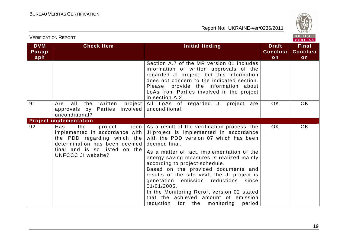

| <b>VERIFICATION REPORT</b>  |                                                                                                                                                                                         |                                                                                                                                                                                                                                                                                                                                                                                                                                                                                                                                                                                 |                                       | BUREAU<br>VERITAS                     |
|-----------------------------|-----------------------------------------------------------------------------------------------------------------------------------------------------------------------------------------|---------------------------------------------------------------------------------------------------------------------------------------------------------------------------------------------------------------------------------------------------------------------------------------------------------------------------------------------------------------------------------------------------------------------------------------------------------------------------------------------------------------------------------------------------------------------------------|---------------------------------------|---------------------------------------|
| <b>DVM</b><br>Paragr<br>aph | <b>Check Item</b>                                                                                                                                                                       | Initial finding                                                                                                                                                                                                                                                                                                                                                                                                                                                                                                                                                                 | <b>Draft</b><br><b>Conclusi</b><br>on | <b>Final</b><br><b>Conclusi</b><br>on |
|                             |                                                                                                                                                                                         | Section A.7 of the MR version 01 includes<br>information of written approvals of the<br>regarded JI project, but this information<br>does not concern to the indicated section.<br>Please, provide the information about<br>LoAs from Parties involved in the project<br>in section A.2.                                                                                                                                                                                                                                                                                        |                                       |                                       |
| 91                          | all<br>the<br>written<br>project  <br>Are<br>approvals by Parties<br>unconditional?                                                                                                     | All LoAs of regarded JI project are<br>involved   unconditional.                                                                                                                                                                                                                                                                                                                                                                                                                                                                                                                | <b>OK</b>                             | <b>OK</b>                             |
|                             | <b>Project implementation</b>                                                                                                                                                           |                                                                                                                                                                                                                                                                                                                                                                                                                                                                                                                                                                                 |                                       |                                       |
| 92                          | Has<br>the<br>project<br>implemented in accordance with  <br>the PDD regarding which the<br>determination has been deemed<br>final and is so listed on the<br><b>UNFCCC JI website?</b> | been   As a result of the verification process, the  <br>JI project is implemented in accordance<br>with the PDD version 07 which has been<br>deemed final.<br>As a matter of fact, implementation of the<br>energy saving measures is realized mainly<br>according to project schedule.<br>Based on the provided documents and<br>results of the site visit, the JI project is<br>generation emission reductions<br>since<br>01/01/2005.<br>In the Monitoring Rerort version 02 stated<br>that the achieved amount of emission<br>reduction<br>for the<br>monitoring<br>period | OK.                                   | <b>OK</b>                             |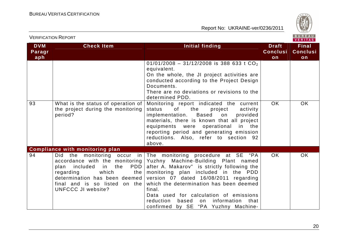

|                             | <b>VERIFICATION REPORT</b>                                                                                                                                                                                     |                                                                                                                                                                                                                                                                                                                                                                                                                                                             |                                       | BUREAU<br>VERITAS                     |
|-----------------------------|----------------------------------------------------------------------------------------------------------------------------------------------------------------------------------------------------------------|-------------------------------------------------------------------------------------------------------------------------------------------------------------------------------------------------------------------------------------------------------------------------------------------------------------------------------------------------------------------------------------------------------------------------------------------------------------|---------------------------------------|---------------------------------------|
| <b>DVM</b><br>Paragr<br>aph | <b>Check Item</b>                                                                                                                                                                                              | Initial finding                                                                                                                                                                                                                                                                                                                                                                                                                                             | <b>Draft</b><br><b>Conclusi</b><br>on | <b>Final</b><br><b>Conclusi</b><br>on |
|                             |                                                                                                                                                                                                                | $01/01/2008 - 31/12/2008$ is 388 633 t CO <sub>2</sub><br>equivalent.<br>On the whole, the JI project activities are<br>conducted according to the Project Design<br>Documents.<br>There are no deviations or revisions to the<br>determined PDD.                                                                                                                                                                                                           |                                       |                                       |
| 93                          | What is the status of operation of<br>the project during the monitoring<br>period?                                                                                                                             | Monitoring report indicated the current<br>status<br>of<br>the<br>project<br>activity<br>implementation. Based<br>provided<br>on<br>materials, there is known that all project<br>equipments were operational<br>in the<br>reporting period and generating emission<br>reductions. Also, refer to section 92<br>above.                                                                                                                                      | <b>OK</b>                             | <b>OK</b>                             |
| 94                          | <b>Compliance with monitoring plan</b><br>Did<br>accordance with the monitoring<br>PDD  <br>plan included<br>in l<br>the<br>which<br>regarding<br>the  <br>final and is so listed on the<br>UNFCCC JI website? | the monitoring occur in The monitoring procedure at SE "PA<br>Yuzhny Machine-Building Plant named<br>after A. Makarov" is strictly following the<br>monitoring plan included in the PDD<br>determination has been deemed version $07$ dated $16/08/2011$ regarding<br>which the determination has been deemed<br>final.<br>Data used for calculation of emissions<br>reduction<br>based<br>information<br>that<br>on<br>confirmed by SE "PA Yuzhny Machine- | OK.                                   | <b>OK</b>                             |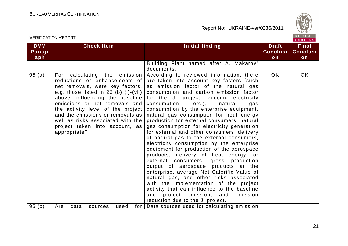

VERITAS

#### **DVM Paragraph Check Item Initial finding Check Item Initial finding Theory ConclusionFinal Conclusion** Building Plant named after A. Makarov" documents. According to reviewed information, there 95 (a) For calculating the emission reductions or enhancements of net removals, were key factors, e.g. those listed in 23 (b) (i)-(vii) above, influencing the baseline emissions or net removals and the activity level of the project and the emissions or removals as well as risks associated with the project taken into account, as appropriate? are taken into account key factors (such as emission factor of the natural gas consumption and carbon emission factor for the JI project reducing electricity consumption, etc.), natural gas consumption by the enterprise equipment, natural gas consumption for heat energy production for external consumers, natural gas consumption for electricity generation for external and other consumers, delivery of natural gas to the external consumers, electricity consumption by the enterprise equipment for production of the aerospace products, delivery of heat energy for external consumers, gross production output of aerospace products at the enterprise, average Net Calorific Value of natural gas, and other risks associated with the implementation of the project activity that can influence to the baseline and project emission, and emission reduction due to the JI project. 95 (b) | Are data sources used for | Data sources used for calculating emission OK OK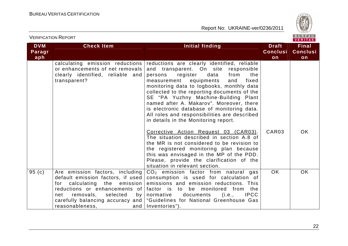

|                             | <b>VERIFICATION REPORT</b>                                                                                                                                                                                                                                         |                                                                                                                                                                                                                                                                                                                                                                                                                                                                                                                                                                                                                                                                                                                                                                                                              |                                       | BUREAU<br><b>VERITAS</b>              |
|-----------------------------|--------------------------------------------------------------------------------------------------------------------------------------------------------------------------------------------------------------------------------------------------------------------|--------------------------------------------------------------------------------------------------------------------------------------------------------------------------------------------------------------------------------------------------------------------------------------------------------------------------------------------------------------------------------------------------------------------------------------------------------------------------------------------------------------------------------------------------------------------------------------------------------------------------------------------------------------------------------------------------------------------------------------------------------------------------------------------------------------|---------------------------------------|---------------------------------------|
| <b>DVM</b><br>Paragr<br>aph | <b>Check Item</b>                                                                                                                                                                                                                                                  | <b>Initial finding</b>                                                                                                                                                                                                                                                                                                                                                                                                                                                                                                                                                                                                                                                                                                                                                                                       | <b>Draft</b><br><b>Conclusi</b><br>on | <b>Final</b><br><b>Conclusi</b><br>on |
|                             | calculating emission reductions<br>or enhancements of net removals<br>clearly identified, reliable and<br>transparent?                                                                                                                                             | reductions are clearly identified, reliable<br>and transparent. On site responsible<br>register<br>data<br>from<br>persons<br>the<br>measurement<br>equipments<br>and<br>fixed<br>monitoring data to logbooks, monthly data<br>collected to the reporting documents of the<br>SE "PA Yuzhny Machine-Building Plant<br>named after A. Makarov". Moreover, there<br>is electronic database of monitoring data.<br>All roles and responsibilities are described<br>in details in the Monitoring report.<br>Corrective Action Request 03 (CAR03).<br>The situation described in section A.8 of<br>the MR is not considered to be revision to<br>the registered monitoring plan because<br>this was envisaged in the MP of the PDD.<br>Please, provide the clarification of the<br>situation in relevant section. | CAR <sub>03</sub>                     | <b>OK</b>                             |
| 95(c)                       | Are emission factors, including<br>default emission factors, if used<br>calculating the<br>emission<br>for<br>reductions or enhancements of<br>removals,<br>net<br>selected<br>by <sub>1</sub><br>carefully balancing accuracy and  <br>reasonableness,<br>and $ $ | $CO2$ emission factor from natural gas<br>consumption is used for calculation of<br>emissions and emission reductions. This<br>factor is to be monitored from the<br><b>IPCC</b><br>normative<br>documents<br>(i.e.,<br>"Guidelines for National Greenhouse Gas<br>Inventories").                                                                                                                                                                                                                                                                                                                                                                                                                                                                                                                            | OK.                                   | <b>OK</b>                             |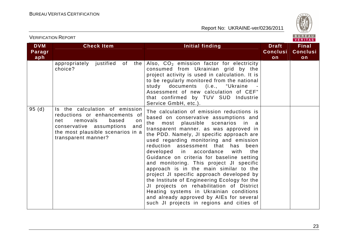

| <b>VERIFICATION REPORT</b>  |                                                                                                                                                                                                   |                                                                                                                                                                                                                                                                                                                                                                                                                                                                                                                                                                                                                                                                                                                                                                       | BUREAU<br><b>VERITAS</b>              |                                       |
|-----------------------------|---------------------------------------------------------------------------------------------------------------------------------------------------------------------------------------------------|-----------------------------------------------------------------------------------------------------------------------------------------------------------------------------------------------------------------------------------------------------------------------------------------------------------------------------------------------------------------------------------------------------------------------------------------------------------------------------------------------------------------------------------------------------------------------------------------------------------------------------------------------------------------------------------------------------------------------------------------------------------------------|---------------------------------------|---------------------------------------|
| <b>DVM</b><br>Paragr<br>aph | <b>Check Item</b>                                                                                                                                                                                 | Initial finding                                                                                                                                                                                                                                                                                                                                                                                                                                                                                                                                                                                                                                                                                                                                                       | <b>Draft</b><br><b>Conclusi</b><br>on | <b>Final</b><br><b>Conclusi</b><br>on |
|                             | appropriately justified of<br>the<br>choice?                                                                                                                                                      | Also, CO <sub>2</sub> emission factor for electricity<br>consumed from Ukrainian grid by the<br>project activity is used in calculation. It is<br>to be regularly monitored from the national<br>study documents (i.e., "Ukraine<br>Assessment of new calculation of CEF"<br>that confirmed by TUV SUD Industrie<br>Service GmbH, etc.).                                                                                                                                                                                                                                                                                                                                                                                                                              |                                       |                                       |
| 95(d)                       | Is the calculation of emission<br>reductions or enhancements of<br>removals<br>based<br>net<br>on.<br>conservative assumptions<br>and<br>the most plausible scenarios in a<br>transparent manner? | The calculation of emission reductions is<br>based on conservative assumptions and<br>most plausible scenarios<br>the<br>in a<br>transparent manner. as was approved in<br>the PDD. Namely, JI specific approach are<br>used regarding monitoring and emission<br>reduction assessment that<br>has<br>been<br>developed in accordance<br>with<br>the<br>Guidance on criteria for baseline setting<br>and monitoring. This project JI specific<br>approach is in the main similar to the<br>project JI specific approach developed by<br>the Institute of Engineering Ecology for the<br>JI projects on rehabilitation of District<br>Heating systems in Ukrainian conditions<br>and already approved by AIEs for several<br>such JI projects in regions and cities of |                                       |                                       |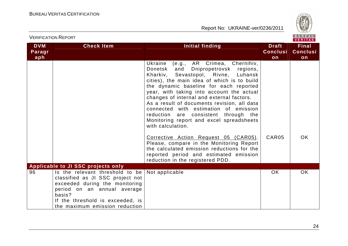

|                             | <b>VERIFICATION REPORT</b>                                                                                                                                                                                           |                                                                                                                                                                                                                                                                                                                                                                                                                                                                                                                 |                                       | BUREAU<br><b>VERITAS</b>              |
|-----------------------------|----------------------------------------------------------------------------------------------------------------------------------------------------------------------------------------------------------------------|-----------------------------------------------------------------------------------------------------------------------------------------------------------------------------------------------------------------------------------------------------------------------------------------------------------------------------------------------------------------------------------------------------------------------------------------------------------------------------------------------------------------|---------------------------------------|---------------------------------------|
| <b>DVM</b><br>Paragr<br>aph | <b>Check Item</b>                                                                                                                                                                                                    | Initial finding                                                                                                                                                                                                                                                                                                                                                                                                                                                                                                 | <b>Draft</b><br><b>Conclusi</b><br>on | <b>Final</b><br><b>Conclusi</b><br>on |
|                             |                                                                                                                                                                                                                      | Ukraine<br>(e.g., AR Crimea, Chernihiv,<br>Donetsk<br>and<br>Dnipropetrovsk regions,<br>Kharkiv, Sevastopol, Rivne, Luhansk<br>cities), the main idea of which is to build<br>the dynamic baseline for each reported<br>year, with taking into account the actual<br>changes of internal and external factors.<br>As a result of documents revision, all data<br>connected with estimation of emission<br>reduction are consistent through the<br>Monitoring report and excel spreadsheets<br>with calculation. |                                       |                                       |
|                             |                                                                                                                                                                                                                      | Corrective Action Request 05 (CAR05).<br>Please, compare in the Monitoring Report<br>the calculated emission reductions for the<br>reported period and estimated emission<br>reduction in the registered PDD.                                                                                                                                                                                                                                                                                                   | CAR05                                 | OK.                                   |
|                             | <b>Applicable to JI SSC projects only</b>                                                                                                                                                                            |                                                                                                                                                                                                                                                                                                                                                                                                                                                                                                                 |                                       |                                       |
| 96                          | Is the relevant threshold to be<br>classified as JI SSC project not<br>exceeded during the monitoring<br>period on an annual average<br>basis?<br>If the threshold is exceeded, is<br>the maximum emission reduction | Not applicable                                                                                                                                                                                                                                                                                                                                                                                                                                                                                                  | <b>OK</b>                             | <b>OK</b>                             |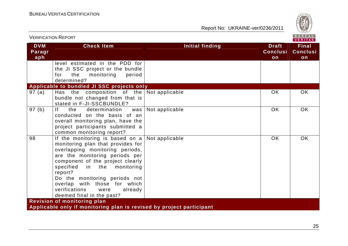

| <b>VERIFICATION REPORT</b>  |                                                                                                                                                                                                                                                                                                                                                                   |                        |                                       | BUREAU<br><b>VERITAS</b>              |
|-----------------------------|-------------------------------------------------------------------------------------------------------------------------------------------------------------------------------------------------------------------------------------------------------------------------------------------------------------------------------------------------------------------|------------------------|---------------------------------------|---------------------------------------|
| <b>DVM</b><br>Paragr<br>aph | <b>Check Item</b>                                                                                                                                                                                                                                                                                                                                                 | <b>Initial finding</b> | <b>Draft</b><br><b>Conclusi</b><br>on | <b>Final</b><br><b>Conclusi</b><br>on |
|                             | level estimated in the PDD for<br>the JI SSC project or the bundle<br>monitoring<br>period<br>the<br>for<br>determined?                                                                                                                                                                                                                                           |                        |                                       |                                       |
|                             | Applicable to bundled JI SSC projects only                                                                                                                                                                                                                                                                                                                        |                        |                                       |                                       |
| 97(a)                       | Has the composition of the<br>bundle not changed from that is<br>stated in F-JI-SSCBUNDLE?                                                                                                                                                                                                                                                                        | Not applicable         | <b>OK</b>                             | <b>OK</b>                             |
| 97(b)                       | If.<br>determination<br>the<br>was<br>conducted on the basis of an<br>overall monitoring plan, have the<br>project participants submitted a<br>common monitoring report?                                                                                                                                                                                          | Not applicable         | <b>OK</b>                             | <b>OK</b>                             |
| 98                          | If the monitoring is based on $a$<br>monitoring plan that provides for<br>overlapping monitoring periods,<br>are the monitoring periods per<br>component of the project clearly<br>specified<br>in the<br>monitoring<br>report?<br>Do the monitoring periods not<br>overlap with those for which<br>verifications<br>already<br>were<br>deemed final in the past? | Not applicable         | <b>OK</b>                             | <b>OK</b>                             |
|                             | <b>Revision of monitoring plan</b>                                                                                                                                                                                                                                                                                                                                |                        |                                       |                                       |
|                             | Applicable only if monitoring plan is revised by project participant                                                                                                                                                                                                                                                                                              |                        |                                       |                                       |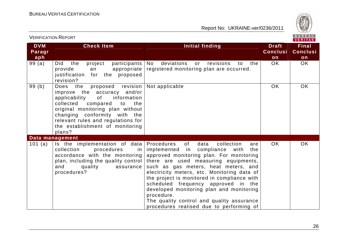

| <b>VERIFICATION REPORT</b>  |                                                                                                                                                                                                                                                                                                 |                                                                                                                                                                                                                                                                                                                                                                                                                                                                                                            |                                       | $P_0$ $P_1$ $P_2$<br>VERITAS          |  |
|-----------------------------|-------------------------------------------------------------------------------------------------------------------------------------------------------------------------------------------------------------------------------------------------------------------------------------------------|------------------------------------------------------------------------------------------------------------------------------------------------------------------------------------------------------------------------------------------------------------------------------------------------------------------------------------------------------------------------------------------------------------------------------------------------------------------------------------------------------------|---------------------------------------|---------------------------------------|--|
| <b>DVM</b><br>Paragr<br>aph | <b>Check Item</b>                                                                                                                                                                                                                                                                               | Initial finding                                                                                                                                                                                                                                                                                                                                                                                                                                                                                            | <b>Draft</b><br><b>Conclusi</b><br>on | <b>Final</b><br><b>Conclusi</b><br>on |  |
| 99(a)                       | project<br>participants<br>Did<br>the<br>provide<br>appropriate<br>an<br>justification<br>for the proposed<br>revision?                                                                                                                                                                         | deviations<br>revisions<br>No.<br>or<br>to<br>the<br>registered monitoring plan are occurred.                                                                                                                                                                                                                                                                                                                                                                                                              | OK.                                   | OK                                    |  |
| 99(b)                       | Does the<br>proposed revision<br>improve the accuracy and/or<br>applicability<br>of<br>information<br>collected<br>compared<br>to<br>the<br>original monitoring plan without<br>changing conformity with the<br>relevant rules and regulations for<br>the establishment of monitoring<br>plans? | Not applicable                                                                                                                                                                                                                                                                                                                                                                                                                                                                                             | <b>OK</b>                             | <b>OK</b>                             |  |
|                             | Data management                                                                                                                                                                                                                                                                                 |                                                                                                                                                                                                                                                                                                                                                                                                                                                                                                            |                                       |                                       |  |
| 101 $(a)$                   | Is the implementation of data<br>collection<br>procedures<br>in<br>accordance with the monitoring<br>plan, including the quality control<br>quality<br>and<br>assurance<br>procedures?                                                                                                          | Procedures<br>of<br>data<br>collection<br>are<br>implemented in compliance with<br>the<br>approved monitoring plan. For monitoring<br>there are used measuring equipments,<br>such as gas meters, heat meters, and<br>electricity meters, etc. Monitoring data of<br>the project is monitored in compliance with<br>scheduled frequency approved in the<br>developed monitoring plan and monitoring<br>procedure.<br>The quality control and quality assurance<br>procedures realised due to performing of | OK.                                   | <b>OK</b>                             |  |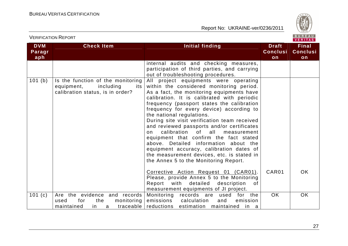

| <b>DVM</b><br>Paragr | <b>Check Item</b>                                                                                       | <b>Initial finding</b>                                                                                                                                                                                                                                                                                                                                                                                                                                                                                                                                                                                                                                              | <b>Draft</b><br><b>Conclusi</b> | <b>Final</b><br><b>Conclusi</b> |
|----------------------|---------------------------------------------------------------------------------------------------------|---------------------------------------------------------------------------------------------------------------------------------------------------------------------------------------------------------------------------------------------------------------------------------------------------------------------------------------------------------------------------------------------------------------------------------------------------------------------------------------------------------------------------------------------------------------------------------------------------------------------------------------------------------------------|---------------------------------|---------------------------------|
| aph                  |                                                                                                         |                                                                                                                                                                                                                                                                                                                                                                                                                                                                                                                                                                                                                                                                     | on                              | on                              |
|                      |                                                                                                         | internal audits and checking measures,<br>participation of third parties, and carrying<br>out of troubleshooting procedures.                                                                                                                                                                                                                                                                                                                                                                                                                                                                                                                                        |                                 |                                 |
| 101 (b)              | Is the function of the monitoring<br>equipment,<br>including<br>its<br>calibration status, is in order? | All project equipments were operating<br>within the considered monitoring period.<br>As a fact, the monitoring equipments have<br>calibration. It is calibrated with periodic<br>frequency (passport states the calibration<br>frequency for every device) according to<br>the national regulations.<br>During site visit verification team received<br>and reviewed passports and/or certificates<br>calibration of all<br>measurement<br>on<br>equipment that confirm the fact stated<br>above. Detailed information about the<br>equipment accuracy, calibration dates of<br>the measurement devices, etc. is stated in<br>the Annex 5 to the Monitoring Report. |                                 |                                 |
|                      |                                                                                                         | Corrective Action Request 01 (CAR01).<br>Please, provide Annex 5 to the Monitoring<br>Report with<br>detailed<br>description<br>of<br>measurement equipments of JI project.                                                                                                                                                                                                                                                                                                                                                                                                                                                                                         | CAR01                           | <b>OK</b>                       |
| 101 $(c)$            | Are the evidence and records<br>monitoring<br>for<br>the<br>used<br>maintained<br>in.<br>a              | for the<br>Monitoring records are used<br>emissions calculation<br>and<br>emission<br>traceable reductions estimation maintained in a                                                                                                                                                                                                                                                                                                                                                                                                                                                                                                                               | <b>OK</b>                       | OK.                             |

VERIFICATION REPORT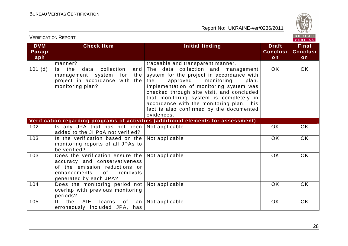VERIFICATION REPORT



| <b>DVM</b><br>Paragr<br>aph | <b>Check Item</b>                                                                                                                                              | <b>Initial finding</b>                                                                                                                                                                                                                                                                                                                                              | <b>Draft</b><br><b>Conclusi</b><br>on | <b>Final</b><br><b>Conclusi</b><br>on |
|-----------------------------|----------------------------------------------------------------------------------------------------------------------------------------------------------------|---------------------------------------------------------------------------------------------------------------------------------------------------------------------------------------------------------------------------------------------------------------------------------------------------------------------------------------------------------------------|---------------------------------------|---------------------------------------|
|                             | manner?                                                                                                                                                        | traceable and transparent manner.                                                                                                                                                                                                                                                                                                                                   |                                       |                                       |
| 101(d)                      | the<br>collection<br>Is.<br>data<br>and<br>management system<br>for<br>the<br>project in accordance with the<br>monitoring plan?                               | The data collection and management<br>system for the project in accordance with<br>the<br>approved<br>monitoring<br>plan.<br>Implementation of monitoring system was<br>checked through site visit, and concluded<br>that monitoring system is completely in<br>accordance with the monitoring plan. This<br>fact is also confirmed by the documented<br>evidences. | <b>OK</b>                             | OK                                    |
|                             |                                                                                                                                                                | Verification regarding programs of activities (additional elements for assessment)                                                                                                                                                                                                                                                                                  |                                       |                                       |
| 102                         | Is any JPA that has not been<br>added to the JI PoA not verified?                                                                                              | Not applicable                                                                                                                                                                                                                                                                                                                                                      | OK                                    | OK                                    |
| 103                         | Is the verification based on the<br>monitoring reports of all JPAs to<br>be verified?                                                                          | Not applicable                                                                                                                                                                                                                                                                                                                                                      | <b>OK</b>                             | <b>OK</b>                             |
| 103                         | Does the verification ensure the<br>accuracy and conservativeness<br>of the emission reductions or<br>enhancements<br>of<br>removals<br>generated by each JPA? | Not applicable                                                                                                                                                                                                                                                                                                                                                      | <b>OK</b>                             | <b>OK</b>                             |
| 104                         | Does the monitoring period not<br>overlap with previous monitoring<br>periods?                                                                                 | Not applicable                                                                                                                                                                                                                                                                                                                                                      | OK                                    | <b>OK</b>                             |
| 105                         | <b>AIE</b><br>lf -<br>the<br>learns<br>of<br>an<br>erroneously included JPA, has                                                                               | Not applicable                                                                                                                                                                                                                                                                                                                                                      | OK                                    | OK                                    |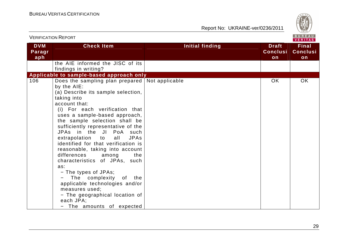

|                             | <b>VERIFICATION REPORT</b>                                                                                                                                                                                                                                                                                                                                                                                                                                                                                                                                                                                                                                                           |                        | BUREAU<br><b>VERITAS</b>              |                                       |  |
|-----------------------------|--------------------------------------------------------------------------------------------------------------------------------------------------------------------------------------------------------------------------------------------------------------------------------------------------------------------------------------------------------------------------------------------------------------------------------------------------------------------------------------------------------------------------------------------------------------------------------------------------------------------------------------------------------------------------------------|------------------------|---------------------------------------|---------------------------------------|--|
| <b>DVM</b><br>Paragr<br>aph | <b>Check Item</b>                                                                                                                                                                                                                                                                                                                                                                                                                                                                                                                                                                                                                                                                    | <b>Initial finding</b> | <b>Draft</b><br><b>Conclusi</b><br>on | <b>Final</b><br><b>Conclusi</b><br>on |  |
|                             | the AIE informed the JISC of its<br>findings in writing?                                                                                                                                                                                                                                                                                                                                                                                                                                                                                                                                                                                                                             |                        |                                       |                                       |  |
| 106                         | Applicable to sample-based approach only                                                                                                                                                                                                                                                                                                                                                                                                                                                                                                                                                                                                                                             |                        | <b>OK</b>                             | OK                                    |  |
|                             | Does the sampling plan prepared Not applicable<br>by the AIE:<br>(a) Describe its sample selection,<br>taking into<br>account that:<br>(i) For each verification that<br>uses a sample-based approach,<br>the sample selection shall be<br>sufficiently representative of the<br>JPAs in the JI PoA such<br>extrapolation to<br><b>JPAs</b><br>all<br>identified for that verification is<br>reasonable, taking into account<br>differences<br>the<br>among<br>characteristics of JPAs, such<br>as:<br>- The types of JPAs;<br>The complexity of the<br>applicable technologies and/or<br>measures used;<br>- The geographical location of<br>each JPA;<br>- The amounts of expected |                        |                                       |                                       |  |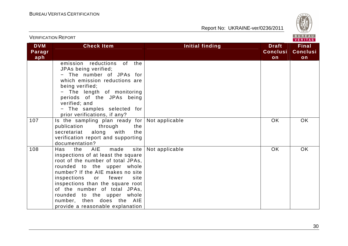

| <b>VERIFICATION REPORT</b>  |                                                                                                                                                                                                                                                                                                                                                                                           |                 |                                       | BUREAU<br><b>VERITAS</b>              |
|-----------------------------|-------------------------------------------------------------------------------------------------------------------------------------------------------------------------------------------------------------------------------------------------------------------------------------------------------------------------------------------------------------------------------------------|-----------------|---------------------------------------|---------------------------------------|
| <b>DVM</b><br>Paragr<br>aph | <b>Check Item</b>                                                                                                                                                                                                                                                                                                                                                                         | Initial finding | <b>Draft</b><br><b>Conclusi</b><br>on | <b>Final</b><br><b>Conclusi</b><br>on |
|                             | emission reductions<br>of .<br>the<br>JPAs being verified;<br>- The number of JPAs for<br>which emission reductions are<br>being verified;<br>- The length of monitoring<br>periods of the JPAs being<br>verified; and<br>- The samples selected for<br>prior verifications, if any?                                                                                                      |                 |                                       |                                       |
| 107                         | Is the sampling plan ready for Not applicable<br>publication<br>through<br>the<br>with<br>secretariat<br>along<br>the<br>verification report and supporting<br>documentation?                                                                                                                                                                                                             |                 | <b>OK</b>                             | OK                                    |
| 108                         | AIE<br>made<br>site  <br>the<br>Has<br>inspections of at least the square<br>root of the number of total JPAs,<br>rounded to the upper whole<br>number? If the AIE makes no site<br>inspections<br>fewer<br>site<br>or<br>inspections than the square root<br>of the number of total JPAs,<br>rounded to the upper whole<br>number, then does the AIE<br>provide a reasonable explanation | Not applicable  | <b>OK</b>                             | <b>OK</b>                             |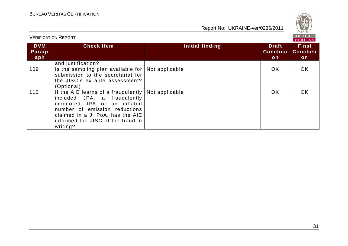

| <b>VERIFICATION REPORT</b>  |                                                                                                                                                                                                                             |                 |                                        | BUREAU<br><b>VERITAS</b>               |
|-----------------------------|-----------------------------------------------------------------------------------------------------------------------------------------------------------------------------------------------------------------------------|-----------------|----------------------------------------|----------------------------------------|
| <b>DVM</b><br>Paragr<br>aph | <b>Check Item</b>                                                                                                                                                                                                           | Initial finding | <b>Draft</b><br><b>Conclusi</b><br>on. | <b>Final</b><br><b>Conclusi</b><br>on. |
|                             | and justification?                                                                                                                                                                                                          |                 |                                        |                                        |
| 109                         | Is the sampling plan available for<br>submission to the secretariat for<br>the JISC.s ex ante assessment?<br>(Optional)                                                                                                     | Not applicable  | OK.                                    | OK.                                    |
| 110                         | If the AIE learns of a fraudulently  <br>included JPA, a fraudulently<br>monitored JPA or an inflated<br>number of emission reductions<br>claimed in a JI PoA, has the AIE<br>informed the JISC of the fraud in<br>writing? | Not applicable  | OK.                                    | OK.                                    |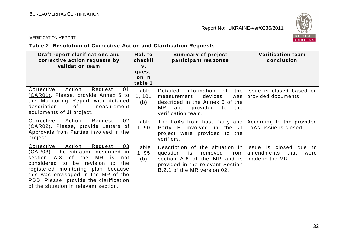

#### VERIFICATION REPORT

# **Table 2 Resolution of Corrective Action and Clarification Requests**

| Draft report clarifications and<br>corrective action requests by<br>validation team                                                                                                                                                                                                                                                        | Ref. to<br>checkli<br>st   | <b>Summary of project</b><br>participant response                                                                                                                  | <b>Verification team</b><br>conclusion                                               |
|--------------------------------------------------------------------------------------------------------------------------------------------------------------------------------------------------------------------------------------------------------------------------------------------------------------------------------------------|----------------------------|--------------------------------------------------------------------------------------------------------------------------------------------------------------------|--------------------------------------------------------------------------------------|
|                                                                                                                                                                                                                                                                                                                                            | questi<br>on in<br>table 1 |                                                                                                                                                                    |                                                                                      |
| Corrective<br>Action<br>Request<br>01<br>(CAR01). Please, provide Annex 5 to<br>the Monitoring Report with detailed<br>description<br>of<br>measurement<br>equipments of JI project.                                                                                                                                                       | Table<br>1, 101<br>(b)     | Detailed<br>information of<br>the<br>devices<br>measurement<br>was<br>described in the Annex 5 of the<br>MR.<br>provided<br>and<br>the<br>to<br>verification team. | Issue is closed based on<br>provided documents.                                      |
| Corrective<br>Action<br>Request<br>02<br>(CAR02). Please, provide Letters of<br>Approvals from Parties involved in the<br>project.                                                                                                                                                                                                         | Table<br>1,90              | The LoAs from host Party and According to the provided<br>Party B involved in the JI LoAs, issue is closed.<br>project were provided to the<br>verifiers.          |                                                                                      |
| Corrective<br>Action<br>Request<br>03<br>(CAR03). The situation described<br>in.<br>section A.8<br>of the<br>MR<br>is<br>not<br>considered<br>to be revision<br>the<br>to.<br>registered monitoring plan because<br>this was envisaged in the MP of the<br>PDD. Please, provide the clarification<br>of the situation in relevant section. | Table<br>1,95<br>(b)       | Description of the situation in<br>question<br>is<br>removed<br>section A.8 of the MR and is<br>provided in the relevant Section<br>B.2.1 of the MR version 02.    | Issue<br>is closed due<br>to<br>from   amendments<br>that<br>were<br>made in the MR. |